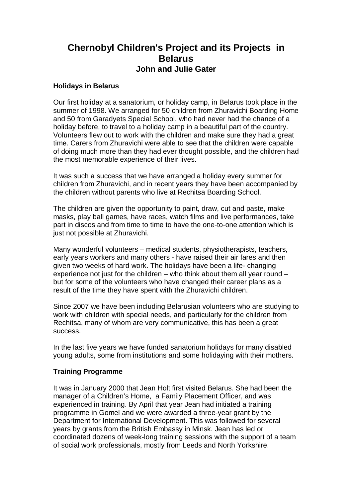# **Chernobyl Children's Project and its Projects in Belarus John and Julie Gater**

## **Holidays in Belarus**

Our first holiday at a sanatorium, or holiday camp, in Belarus took place in the summer of 1998. We arranged for 50 children from Zhuravichi Boarding Home and 50 from Garadyets Special School, who had never had the chance of a holiday before, to travel to a holiday camp in a beautiful part of the country. Volunteers flew out to work with the children and make sure they had a great time. Carers from Zhuravichi were able to see that the children were capable of doing much more than they had ever thought possible, and the children had the most memorable experience of their lives.

It was such a success that we have arranged a holiday every summer for children from Zhuravichi, and in recent years they have been accompanied by the children without parents who live at Rechitsa Boarding School.

The children are given the opportunity to paint, draw, cut and paste, make masks, play ball games, have races, watch films and live performances, take part in discos and from time to time to have the one-to-one attention which is just not possible at Zhuravichi.

Many wonderful volunteers – medical students, physiotherapists, teachers, early years workers and many others - have raised their air fares and then given two weeks of hard work. The holidays have been a life- changing experience not just for the children – who think about them all year round – but for some of the volunteers who have changed their career plans as a result of the time they have spent with the Zhuravichi children.

Since 2007 we have been including Belarusian volunteers who are studying to work with children with special needs, and particularly for the children from Rechitsa, many of whom are very communicative, this has been a great success.

In the last five years we have funded sanatorium holidays for many disabled young adults, some from institutions and some holidaying with their mothers.

# **Training Programme**

It was in January 2000 that Jean Holt first visited Belarus. She had been the manager of a Children's Home, a Family Placement Officer, and was experienced in training. By April that year Jean had initiated a training programme in Gomel and we were awarded a three-year grant by the Department for International Development. This was followed for several years by grants from the British Embassy in Minsk. Jean has led or coordinated dozens of week-long training sessions with the support of a team of social work professionals, mostly from Leeds and North Yorkshire.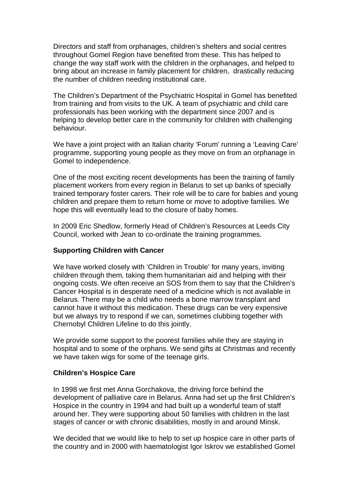Directors and staff from orphanages, children's shelters and social centres throughout Gomel Region have benefited from these. This has helped to change the way staff work with the children in the orphanages, and helped to bring about an increase in family placement for children, drastically reducing the number of children needing institutional care.

The Children's Department of the Psychiatric Hospital in Gomel has benefited from training and from visits to the UK. A team of psychiatric and child care professionals has been working with the department since 2007 and is helping to develop better care in the community for children with challenging behaviour.

We have a joint project with an Italian charity 'Forum' running a 'Leaving Care' programme, supporting young people as they move on from an orphanage in Gomel to independence.

One of the most exciting recent developments has been the training of family placement workers from every region in Belarus to set up banks of specially trained temporary foster carers. Their role will be to care for babies and young children and prepare them to return home or move to adoptive families. We hope this will eventually lead to the closure of baby homes.

In 2009 Eric Shedlow, formerly Head of Children's Resources at Leeds City Council, worked with Jean to co-ordinate the training programmes.

## **Supporting Children with Cancer**

We have worked closely with 'Children in Trouble' for many years, inviting children through them, taking them humanitarian aid and helping with their ongoing costs. We often receive an SOS from them to say that the Children's Cancer Hospital is in desperate need of a medicine which is not available in Belarus. There may be a child who needs a bone marrow transplant and cannot have it without this medication. These drugs can be very expensive but we always try to respond if we can, sometimes clubbing together with Chernobyl Children Lifeline to do this jointly.

We provide some support to the poorest families while they are staying in hospital and to some of the orphans. We send gifts at Christmas and recently we have taken wigs for some of the teenage girls.

#### **Children's Hospice Care**

In 1998 we first met Anna Gorchakova, the driving force behind the development of palliative care in Belarus. Anna had set up the first Children's Hospice in the country in 1994 and had built up a wonderful team of staff around her. They were supporting about 50 families with children in the last stages of cancer or with chronic disabilities, mostly in and around Minsk.

We decided that we would like to help to set up hospice care in other parts of the country and in 2000 with haematologist Igor Iskrov we established Gomel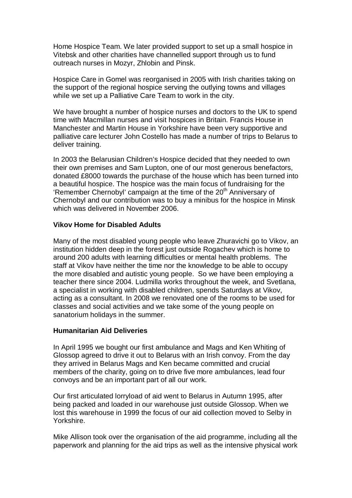Home Hospice Team. We later provided support to set up a small hospice in Vitebsk and other charities have channelled support through us to fund outreach nurses in Mozyr, Zhlobin and Pinsk.

Hospice Care in Gomel was reorganised in 2005 with Irish charities taking on the support of the regional hospice serving the outlying towns and villages while we set up a Palliative Care Team to work in the city.

We have brought a number of hospice nurses and doctors to the UK to spend time with Macmillan nurses and visit hospices in Britain. Francis House in Manchester and Martin House in Yorkshire have been very supportive and palliative care lecturer John Costello has made a number of trips to Belarus to deliver training.

In 2003 the Belarusian Children's Hospice decided that they needed to own their own premises and Sam Lupton, one of our most generous benefactors, donated £8000 towards the purchase of the house which has been turned into a beautiful hospice. The hospice was the main focus of fundraising for the 'Remember Chernobyl' campaign at the time of the 20<sup>th</sup> Anniversary of Chernobyl and our contribution was to buy a minibus for the hospice in Minsk which was delivered in November 2006.

### **Vikov Home for Disabled Adults**

Many of the most disabled young people who leave Zhuravichi go to Vikov, an institution hidden deep in the forest just outside Rogachev which is home to around 200 adults with learning difficulties or mental health problems. The staff at Vikov have neither the time nor the knowledge to be able to occupy the more disabled and autistic young people. So we have been employing a teacher there since 2004. Ludmilla works throughout the week, and Svetlana, a specialist in working with disabled children, spends Saturdays at Vikov, acting as a consultant. In 2008 we renovated one of the rooms to be used for classes and social activities and we take some of the young people on sanatorium holidays in the summer.

#### **Humanitarian Aid Deliveries**

In April 1995 we bought our first ambulance and Mags and Ken Whiting of Glossop agreed to drive it out to Belarus with an Irish convoy. From the day they arrived in Belarus Mags and Ken became committed and crucial members of the charity, going on to drive five more ambulances, lead four convoys and be an important part of all our work.

Our first articulated lorryload of aid went to Belarus in Autumn 1995, after being packed and loaded in our warehouse just outside Glossop. When we lost this warehouse in 1999 the focus of our aid collection moved to Selby in Yorkshire.

Mike Allison took over the organisation of the aid programme, including all the paperwork and planning for the aid trips as well as the intensive physical work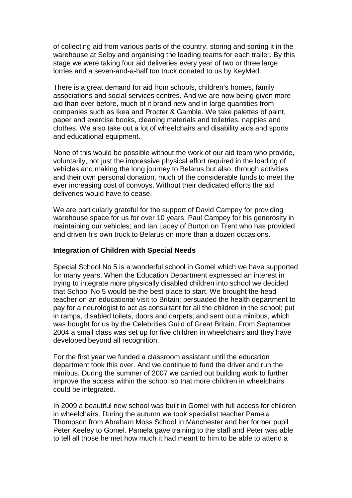of collecting aid from various parts of the country, storing and sorting it in the warehouse at Selby and organising the loading teams for each trailer. By this stage we were taking four aid deliveries every year of two or three large lorries and a seven-and-a-half ton truck donated to us by KeyMed.

There is a great demand for aid from schools, children's homes, family associations and social services centres. And we are now being given more aid than ever before, much of it brand new and in large quantities from companies such as Ikea and Procter & Gamble. We take palettes of paint, paper and exercise books, cleaning materials and toiletries, nappies and clothes. We also take out a lot of wheelchairs and disability aids and sports and educational equipment.

None of this would be possible without the work of our aid team who provide, voluntarily, not just the impressive physical effort required in the loading of vehicles and making the long journey to Belarus but also, through activities and their own personal donation, much of the considerable funds to meet the ever increasing cost of convoys. Without their dedicated efforts the aid deliveries would have to cease.

We are particularly grateful for the support of David Campey for providing warehouse space for us for over 10 years; Paul Campey for his generosity in maintaining our vehicles; and Ian Lacey of Burton on Trent who has provided and driven his own truck to Belarus on more than a dozen occasions.

#### **Integration of Children with Special Needs**

Special School No 5 is a wonderful school in Gomel which we have supported for many years. When the Education Department expressed an interest in trying to integrate more physically disabled children into school we decided that School No 5 would be the best place to start. We brought the head teacher on an educational visit to Britain; persuaded the health department to pay for a neurologist to act as consultant for all the children in the school; put in ramps, disabled toilets, doors and carpets; and sent out a minibus, which was bought for us by the Celebrities Guild of Great Britain. From September 2004 a small class was set up for five children in wheelchairs and they have developed beyond all recognition.

For the first year we funded a classroom assistant until the education department took this over. And we continue to fund the driver and run the minibus. During the summer of 2007 we carried out building work to further improve the access within the school so that more children in wheelchairs could be integrated.

In 2009 a beautiful new school was built in Gomel with full access for children in wheelchairs. During the autumn we took specialist teacher Pamela Thompson from Abraham Moss School in Manchester and her former pupil Peter Keeley to Gomel. Pamela gave training to the staff and Peter was able to tell all those he met how much it had meant to him to be able to attend a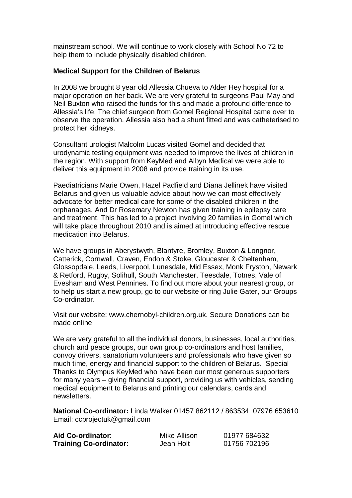mainstream school. We will continue to work closely with School No 72 to help them to include physically disabled children.

# **Medical Support for the Children of Belarus**

In 2008 we brought 8 year old Allessia Chueva to Alder Hey hospital for a major operation on her back. We are very grateful to surgeons Paul May and Neil Buxton who raised the funds for this and made a profound difference to Allessia's life. The chief surgeon from Gomel Regional Hospital came over to observe the operation. Allessia also had a shunt fitted and was catheterised to protect her kidneys.

Consultant urologist Malcolm Lucas visited Gomel and decided that urodynamic testing equipment was needed to improve the lives of children in the region. With support from KeyMed and Albyn Medical we were able to deliver this equipment in 2008 and provide training in its use.

Paediatricians Marie Owen, Hazel Padfield and Diana Jellinek have visited Belarus and given us valuable advice about how we can most effectively advocate for better medical care for some of the disabled children in the orphanages. And Dr Rosemary Newton has given training in epilepsy care and treatment. This has led to a project involving 20 families in Gomel which will take place throughout 2010 and is aimed at introducing effective rescue medication into Belarus.

We have groups in Aberystwyth, Blantyre, Bromley, Buxton & Longnor, Catterick, Cornwall, Craven, Endon & Stoke, Gloucester & Cheltenham, Glossopdale, Leeds, Liverpool, Lunesdale, Mid Essex, Monk Fryston, Newark & Retford, Rugby, Solihull, South Manchester, Teesdale, Totnes, Vale of Evesham and West Pennines. To find out more about your nearest group, or to help us start a new group, go to our website or ring Julie Gater, our Groups Co-ordinator.

Visit our website: www.chernobyl-children.org.uk. Secure Donations can be made online

We are very grateful to all the individual donors, businesses, local authorities, church and peace groups, our own group co-ordinators and host families, convoy drivers, sanatorium volunteers and professionals who have given so much time, energy and financial support to the children of Belarus. Special Thanks to Olympus KeyMed who have been our most generous supporters for many years – giving financial support, providing us with vehicles, sending medical equipment to Belarus and printing our calendars, cards and newsletters.

**National Co-ordinator:** Linda Walker 01457 862112 / 863534 07976 653610 Email: ccprojectuk@gmail.com

| Aid Co-ordinator:             | Mike Allison | 01977 684632 |
|-------------------------------|--------------|--------------|
| <b>Training Co-ordinator:</b> | Jean Holt    | 01756 702196 |